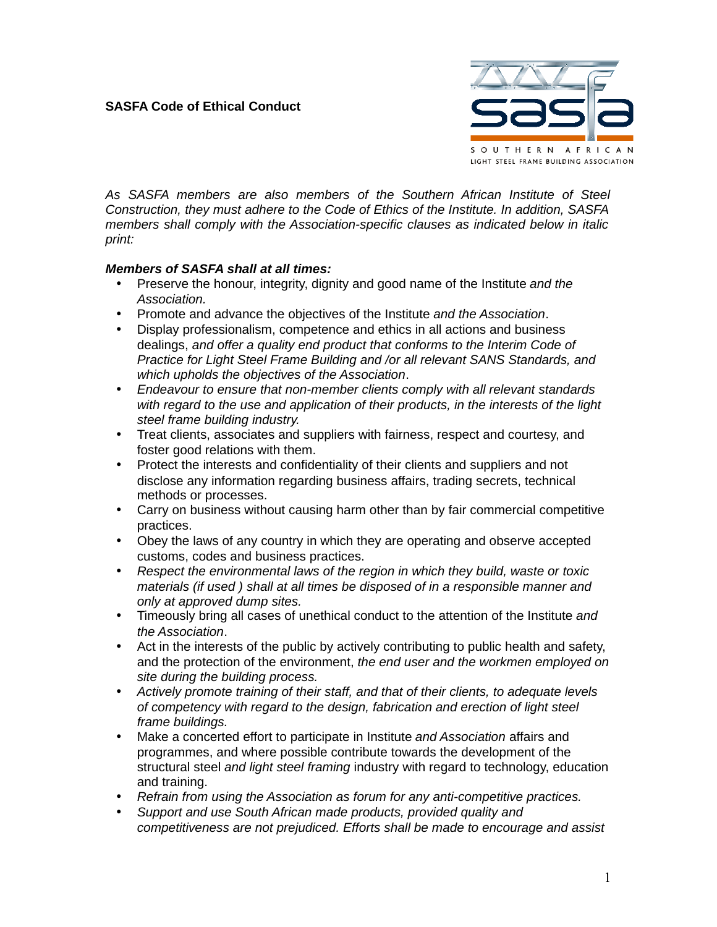

*As SASFA members are also members of the Southern African Institute of Steel Construction, they must adhere to the Code of Ethics of the Institute. In addition, SASFA members shall comply with the Association-specific clauses as indicated below in italic print:*

## *Members of SASFA shall at all times:*

- Preserve the honour, integrity, dignity and good name of the Institute *and the Association.*
- Promote and advance the objectives of the Institute *and the Association*.
- Display professionalism, competence and ethics in all actions and business dealings, *and offer a quality end product that conforms to the Interim Code of Practice for Light Steel Frame Building and /or all relevant SANS Standards, and which upholds the objectives of the Association*.
- *Endeavour to ensure that non-member clients comply with all relevant standards with regard to the use and application of their products, in the interests of the light steel frame building industry.*
- Treat clients, associates and suppliers with fairness, respect and courtesy, and foster good relations with them.
- Protect the interests and confidentiality of their clients and suppliers and not disclose any information regarding business affairs, trading secrets, technical methods or processes.
- Carry on business without causing harm other than by fair commercial competitive practices.
- Obey the laws of any country in which they are operating and observe accepted customs, codes and business practices.
- *Respect the environmental laws of the region in which they build, waste or toxic materials (if used ) shall at all times be disposed of in a responsible manner and only at approved dump sites.*
- Timeously bring all cases of unethical conduct to the attention of the Institute *and the Association*.
- Act in the interests of the public by actively contributing to public health and safety, and the protection of the environment, *the end user and the workmen employed on site during the building process.*
- *Actively promote training of their staff, and that of their clients, to adequate levels of competency with regard to the design, fabrication and erection of light steel frame buildings.*
- Make a concerted effort to participate in Institute *and Association* affairs and programmes, and where possible contribute towards the development of the structural steel *and light steel framing* industry with regard to technology, education and training.
- *Refrain from using the Association as forum for any anti-competitive practices.*
- *Support and use South African made products, provided quality and competitiveness are not prejudiced. Efforts shall be made to encourage and assist*